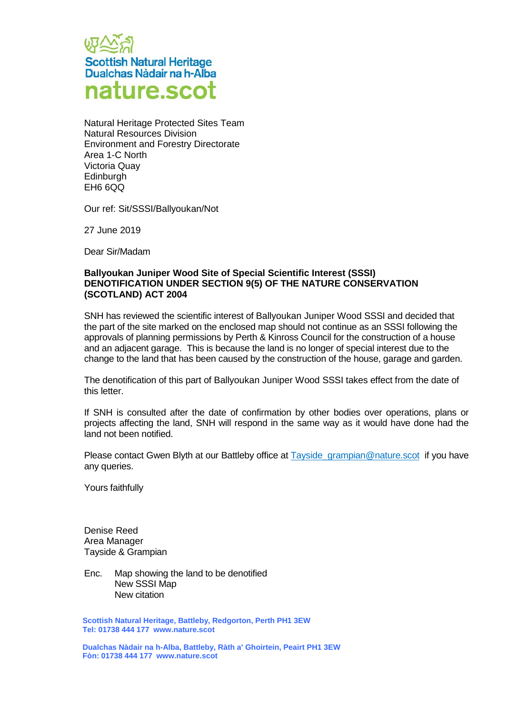

Natural Heritage Protected Sites Team Natural Resources Division Environment and Forestry Directorate Area 1-C North Victoria Quay **Edinburgh** EH6 6QQ

Our ref: Sit/SSSI/Ballyoukan/Not

27 June 2019

Dear Sir/Madam

## **Ballyoukan Juniper Wood Site of Special Scientific Interest (SSSI) DENOTIFICATION UNDER SECTION 9(5) OF THE NATURE CONSERVATION (SCOTLAND) ACT 2004**

SNH has reviewed the scientific interest of Ballyoukan Juniper Wood SSSI and decided that the part of the site marked on the enclosed map should not continue as an SSSI following the approvals of planning permissions by Perth & Kinross Council for the construction of a house and an adjacent garage. This is because the land is no longer of special interest due to the change to the land that has been caused by the construction of the house, garage and garden.

The denotification of this part of Ballyoukan Juniper Wood SSSI takes effect from the date of this letter.

If SNH is consulted after the date of confirmation by other bodies over operations, plans or projects affecting the land, SNH will respond in the same way as it would have done had the land not been notified.

Please contact Gwen Blyth at our Battleby office at Tayside grampian@nature.scot if you have any queries.

Yours faithfully

Denise Reed Area Manager Tayside & Grampian

Enc. Map showing the land to be denotified New SSSI Map New citation

**Scottish Natural Heritage, Battleby, Redgorton, Perth PH1 3EW Tel: 01738 444 177 www.nature.scot**

**Dualchas Nàdair na h-Alba, Battleby, Ràth a' Ghoirtein, Peairt PH1 3EW Fòn: 01738 444 177 www.nature.scot**